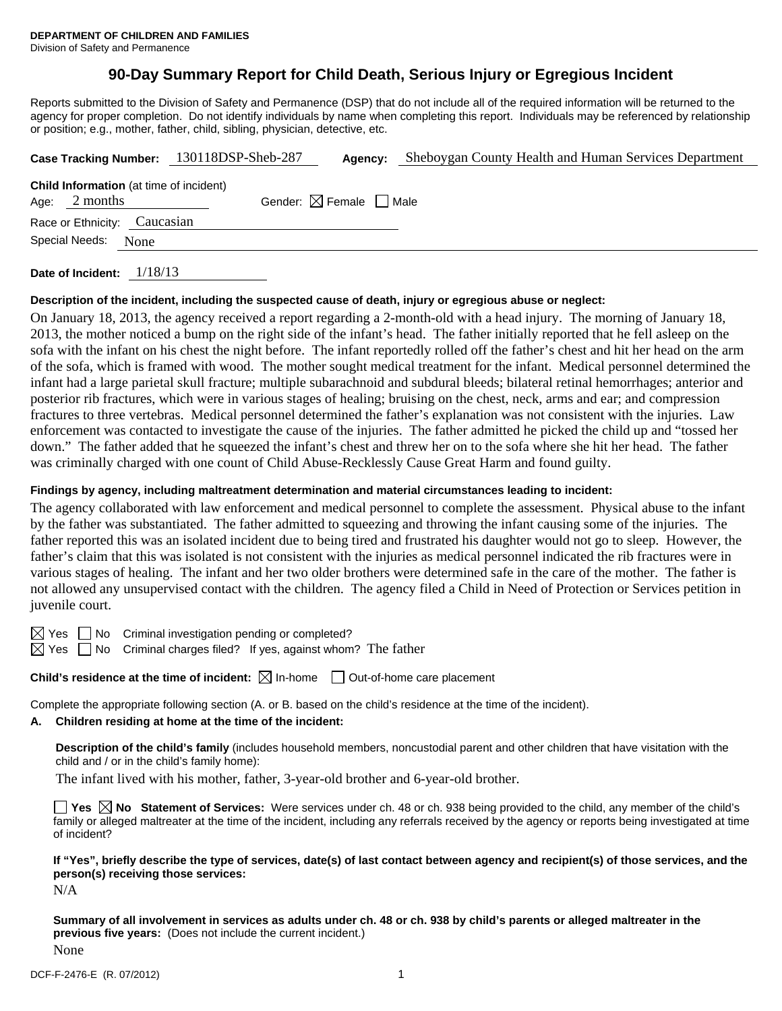# **90-Day Summary Report for Child Death, Serious Injury or Egregious Incident**

Reports submitted to the Division of Safety and Permanence (DSP) that do not include all of the required information will be returned to the agency for proper completion. Do not identify individuals by name when completing this report. Individuals may be referenced by relationship or position; e.g., mother, father, child, sibling, physician, detective, etc.

|      |                |                                                | Case Tracking Number: 130118DSP-Sheb-287 | Agency:                                | Sheboygan County Health and Human Services Department |
|------|----------------|------------------------------------------------|------------------------------------------|----------------------------------------|-------------------------------------------------------|
| Age: | 2 months       | <b>Child Information</b> (at time of incident) |                                          | Gender: $\boxtimes$ Female $\Box$ Male |                                                       |
|      |                | Race or Ethnicity: Caucasian                   |                                          |                                        |                                                       |
|      | Special Needs: | None                                           |                                          |                                        |                                                       |
|      |                |                                                |                                          |                                        |                                                       |

**Date of Incident:** 1/18/13

### **Description of the incident, including the suspected cause of death, injury or egregious abuse or neglect:**

On January 18, 2013, the agency received a report regarding a 2-month-old with a head injury. The morning of January 18, 2013, the mother noticed a bump on the right side of the infant's head. The father initially reported that he fell asleep on the sofa with the infant on his chest the night before. The infant reportedly rolled off the father's chest and hit her head on the arm of the sofa, which is framed with wood. The mother sought medical treatment for the infant. Medical personnel determined the infant had a large parietal skull fracture; multiple subarachnoid and subdural bleeds; bilateral retinal hemorrhages; anterior and posterior rib fractures, which were in various stages of healing; bruising on the chest, neck, arms and ear; and compression fractures to three vertebras. Medical personnel determined the father's explanation was not consistent with the injuries. Law enforcement was contacted to investigate the cause of the injuries. The father admitted he picked the child up and "tossed her down." The father added that he squeezed the infant's chest and threw her on to the sofa where she hit her head. The father was criminally charged with one count of Child Abuse-Recklessly Cause Great Harm and found guilty.

### **Findings by agency, including maltreatment determination and material circumstances leading to incident:**

The agency collaborated with law enforcement and medical personnel to complete the assessment. Physical abuse to the infant by the father was substantiated. The father admitted to squeezing and throwing the infant causing some of the injuries. The father reported this was an isolated incident due to being tired and frustrated his daughter would not go to sleep. However, the father's claim that this was isolated is not consistent with the injuries as medical personnel indicated the rib fractures were in various stages of healing. The infant and her two older brothers were determined safe in the care of the mother. The father is not allowed any unsupervised contact with the children. The agency filed a Child in Need of Protection or Services petition in juvenile court.

 $\boxtimes$  Yes  $\Box$  No Criminal investigation pending or completed?

 $\boxtimes$  Yes  $\Box$  No Criminal charges filed? If yes, against whom? The father

**Child's residence at the time of incident:**  $\boxtimes$  In-home  $\Box$  Out-of-home care placement

Complete the appropriate following section (A. or B. based on the child's residence at the time of the incident).

#### **A. Children residing at home at the time of the incident:**

**Description of the child's family** (includes household members, noncustodial parent and other children that have visitation with the child and / or in the child's family home):

The infant lived with his mother, father, 3-year-old brother and 6-year-old brother.

■ Yes **No** Statement of Services: Were services under ch. 48 or ch. 938 being provided to the child, any member of the child's family or alleged maltreater at the time of the incident, including any referrals received by the agency or reports being investigated at time of incident?

**If "Yes", briefly describe the type of services, date(s) of last contact between agency and recipient(s) of those services, and the person(s) receiving those services:** 

N/A

**Summary of all involvement in services as adults under ch. 48 or ch. 938 by child's parents or alleged maltreater in the previous five years:** (Does not include the current incident.) None